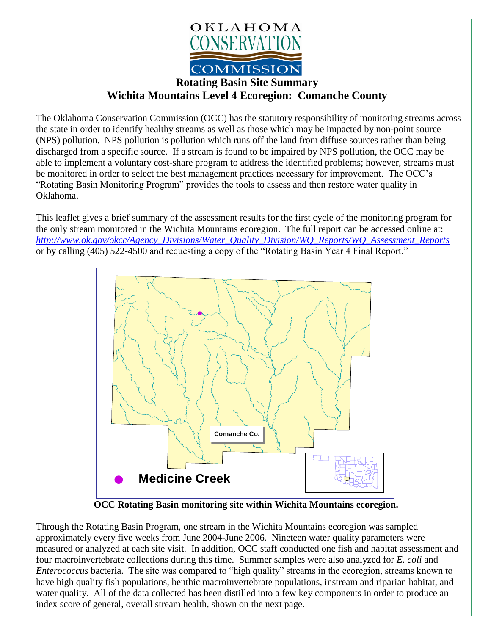

**Rotating Basin Site Summary Wichita Mountains Level 4 Ecoregion: Comanche County**

The Oklahoma Conservation Commission (OCC) has the statutory responsibility of monitoring streams across the state in order to identify healthy streams as well as those which may be impacted by non-point source (NPS) pollution. NPS pollution is pollution which runs off the land from diffuse sources rather than being discharged from a specific source. If a stream is found to be impaired by NPS pollution, the OCC may be able to implement a voluntary cost-share program to address the identified problems; however, streams must be monitored in order to select the best management practices necessary for improvement. The OCC's "Rotating Basin Monitoring Program" provides the tools to assess and then restore water quality in Oklahoma.

This leaflet gives a brief summary of the assessment results for the first cycle of the monitoring program for the only stream monitored in the Wichita Mountains ecoregion. The full report can be accessed online at: *[http://www.ok.gov/okcc/Agency\\_Divisions/Water\\_Quality\\_Division/WQ\\_Reports/WQ\\_Assessment\\_Reports](http://www.ok.gov/okcc/Agency_Divisions/Water_Quality_Division/WQ_Reports/WQ_Assessment_Reports)* or by calling (405) 522-4500 and requesting a copy of the "Rotating Basin Year 4 Final Report."



**OCC Rotating Basin monitoring site within Wichita Mountains ecoregion.**

Through the Rotating Basin Program, one stream in the Wichita Mountains ecoregion was sampled approximately every five weeks from June 2004-June 2006. Nineteen water quality parameters were measured or analyzed at each site visit. In addition, OCC staff conducted one fish and habitat assessment and four macroinvertebrate collections during this time. Summer samples were also analyzed for *E. coli* and *Enterococcus* bacteria. The site was compared to "high quality" streams in the ecoregion, streams known to have high quality fish populations, benthic macroinvertebrate populations, instream and riparian habitat, and water quality. All of the data collected has been distilled into a few key components in order to produce an index score of general, overall stream health, shown on the next page.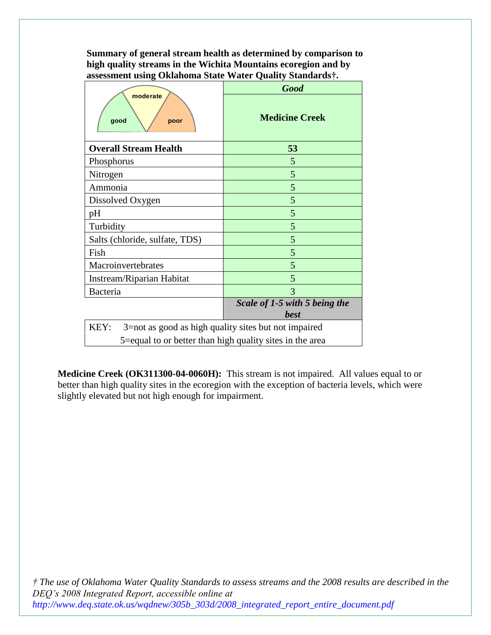**Summary of general stream health as determined by comparison to high quality streams in the Wichita Mountains ecoregion and by assessment using Oklahoma State Water Quality Standards†.**

|                                                              | <b>Good</b>                                  |
|--------------------------------------------------------------|----------------------------------------------|
| moderate<br>good<br>poor                                     | <b>Medicine Creek</b>                        |
| <b>Overall Stream Health</b>                                 | 53                                           |
| Phosphorus                                                   | 5                                            |
| Nitrogen                                                     | 5                                            |
| Ammonia                                                      | 5                                            |
| Dissolved Oxygen                                             | 5                                            |
| pH                                                           | 5                                            |
| Turbidity                                                    | 5                                            |
| Salts (chloride, sulfate, TDS)                               | 5                                            |
| Fish                                                         | 5                                            |
| Macroinvertebrates                                           | 5                                            |
| Instream/Riparian Habitat                                    | 5                                            |
| Bacteria                                                     | 3                                            |
|                                                              | Scale of 1-5 with 5 being the<br><b>best</b> |
| KEY:<br>3=not as good as high quality sites but not impaired |                                              |
| 5=equal to or better than high quality sites in the area     |                                              |

**Medicine Creek (OK311300-04-0060H):** This stream is not impaired. All values equal to or better than high quality sites in the ecoregion with the exception of bacteria levels, which were slightly elevated but not high enough for impairment.

*† The use of Oklahoma Water Quality Standards to assess streams and the 2008 results are described in the DEQ's 2008 Integrated Report, accessible online at http://www.deq.state.ok.us/wqdnew/305b\_303d/2008\_integrated\_report\_entire\_document.pdf*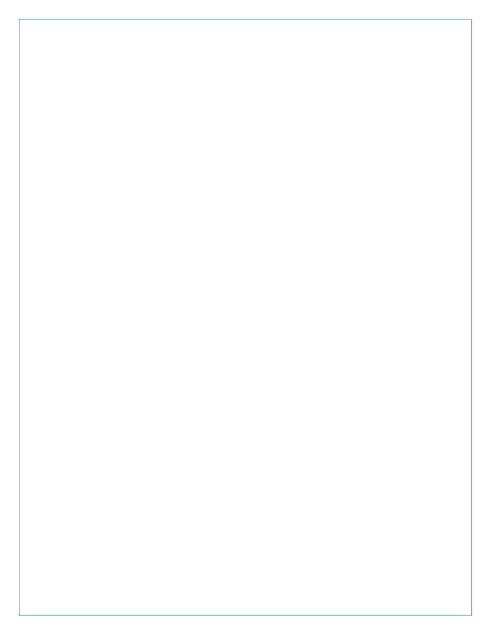